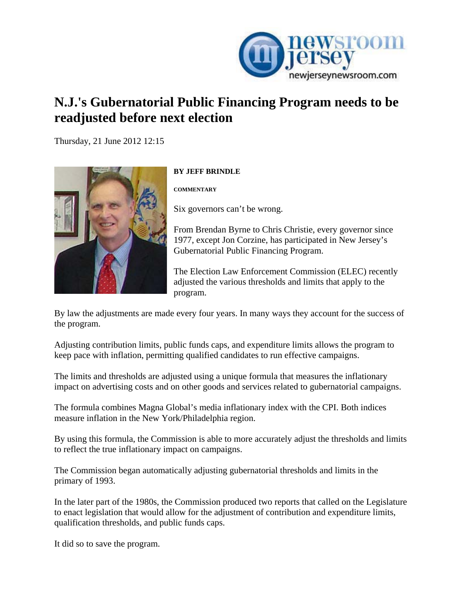

## **N.J.'s Gubernatorial Public Financing Program needs to be readjusted before next election**

[Thu](http://www.newjerseynewsroom.com/commentary/njs-gubernatorial-public-financing-program-needs-to-be-adjusted-again-before-next-election/print)rsday, 21 June 2012 12:15



## **BY JEFF BRINDLE**

**COMMENTARY** 

Six governors can't be wrong.

From Brendan Byrne to Chris Christie, every governor since 1977, except Jon Corzine, has participated in New Jersey's Gubernatorial Public Financing Program.

The Election Law Enforcement Commission (ELEC) recently adjusted the various thresholds and limits that apply to the program.

By law the adjustments are made every four years. In many ways they account for the success of the program.

Adjusting contribution limits, public funds caps, and expenditure limits allows the program to keep pace with inflation, permitting qualified candidates to run effective campaigns.

The limits and thresholds are adjusted using a unique formula that measures the inflationary impact on advertising costs and on other goods and services related to gubernatorial campaigns.

The formula combines Magna Global's media inflationary index with the CPI. Both indices measure inflation in the New York/Philadelphia region.

By using this formula, the Commission is able to more accurately adjust the thresholds and limits to reflect the true inflationary impact on campaigns.

The Commission began automatically adjusting gubernatorial thresholds and limits in the primary of 1993.

In the later part of the 1980s, the Commission produced two reports that called on the Legislature to enact legislation that would allow for the adjustment of contribution and expenditure limits, qualification thresholds, and public funds caps.

It did so to save the program.